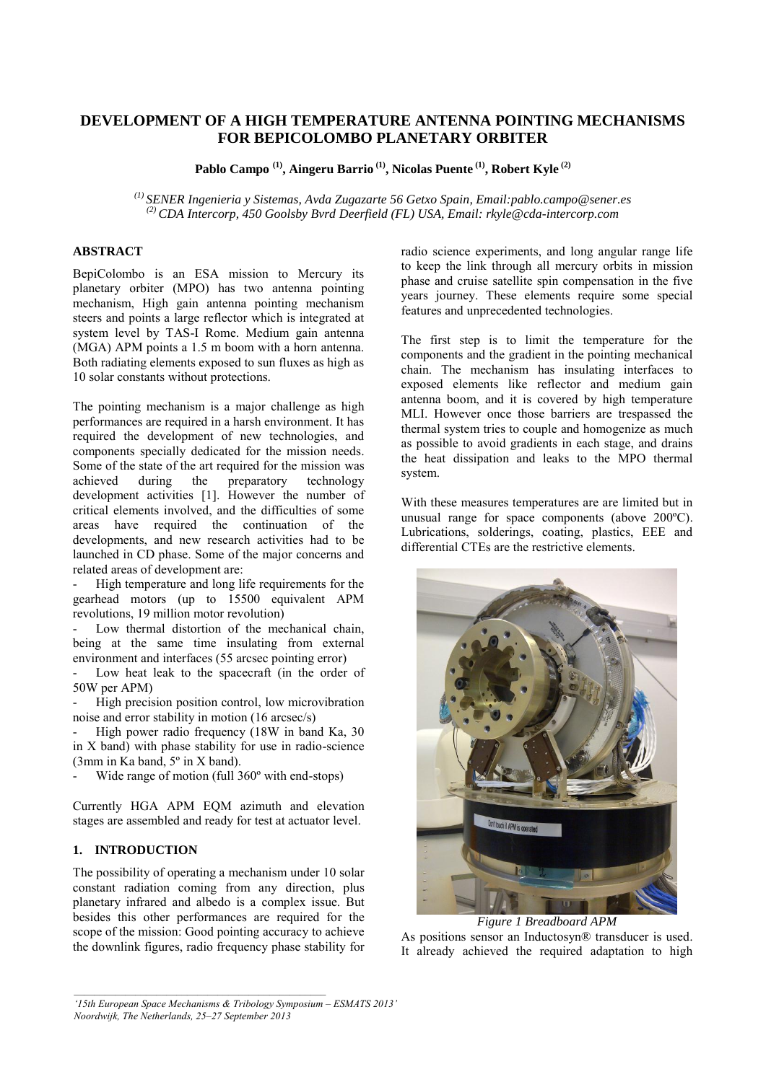# **DEVELOPMENT OF A HIGH TEMPERATURE ANTENNA POINTING MECHANISMS FOR BEPICOLOMBO PLANETARY ORBITER**

**Pablo Campo (1) , Aingeru Barrio (1), Nicolas Puente (1), Robert Kyle (2)**

*(1) SENER Ingenieria y Sistemas, Avda Zugazarte 56 Getxo Spain, Email:pablo.campo@sener.es (2) CDA Intercorp, 450 Goolsby Bvrd Deerfield (FL) USA, Email: rkyle@cda-intercorp.com* 

### **ABSTRACT**

BepiColombo is an ESA mission to Mercury its planetary orbiter (MPO) has two antenna pointing mechanism, High gain antenna pointing mechanism steers and points a large reflector which is integrated at system level by TAS-I Rome. Medium gain antenna (MGA) APM points a 1.5 m boom with a horn antenna. Both radiating elements exposed to sun fluxes as high as 10 solar constants without protections.

The pointing mechanism is a major challenge as high performances are required in a harsh environment. It has required the development of new technologies, and components specially dedicated for the mission needs. Some of the state of the art required for the mission was achieved during the preparatory technology development activities [1]. However the number of critical elements involved, and the difficulties of some areas have required the continuation of the developments, and new research activities had to be launched in CD phase. Some of the major concerns and related areas of development are:

High temperature and long life requirements for the gearhead motors (up to 15500 equivalent APM revolutions, 19 million motor revolution)

Low thermal distortion of the mechanical chain, being at the same time insulating from external environment and interfaces (55 arcsec pointing error)

Low heat leak to the spacecraft (in the order of 50W per APM)

High precision position control, low microvibration noise and error stability in motion (16 arcsec/s)

High power radio frequency (18W in band Ka, 30) in X band) with phase stability for use in radio-science (3mm in Ka band, 5º in X band).

Wide range of motion (full 360° with end-stops)

Currently HGA APM EQM azimuth and elevation stages are assembled and ready for test at actuator level.

# **1. INTRODUCTION**

The possibility of operating a mechanism under 10 solar constant radiation coming from any direction, plus planetary infrared and albedo is a complex issue. But besides this other performances are required for the scope of the mission: Good pointing accuracy to achieve the downlink figures, radio frequency phase stability for radio science experiments, and long angular range life to keep the link through all mercury orbits in mission phase and cruise satellite spin compensation in the five years journey. These elements require some special features and unprecedented technologies.

The first step is to limit the temperature for the components and the gradient in the pointing mechanical chain. The mechanism has insulating interfaces to exposed elements like reflector and medium gain antenna boom, and it is covered by high temperature MLI. However once those barriers are trespassed the thermal system tries to couple and homogenize as much as possible to avoid gradients in each stage, and drains the heat dissipation and leaks to the MPO thermal system.

With these measures temperatures are are limited but in unusual range for space components (above 200ºC). Lubrications, solderings, coating, plastics, EEE and differential CTEs are the restrictive elements.



*Figure 1 Breadboard APM* 

As positions sensor an Inductosyn® transducer is used. It already achieved the required adaptation to high

*<sup>&#</sup>x27;15th European Space Mechanisms & Tribology Symposium – ESMATS 2013' Noordwijk, The Netherlands, 25–27 September 2013*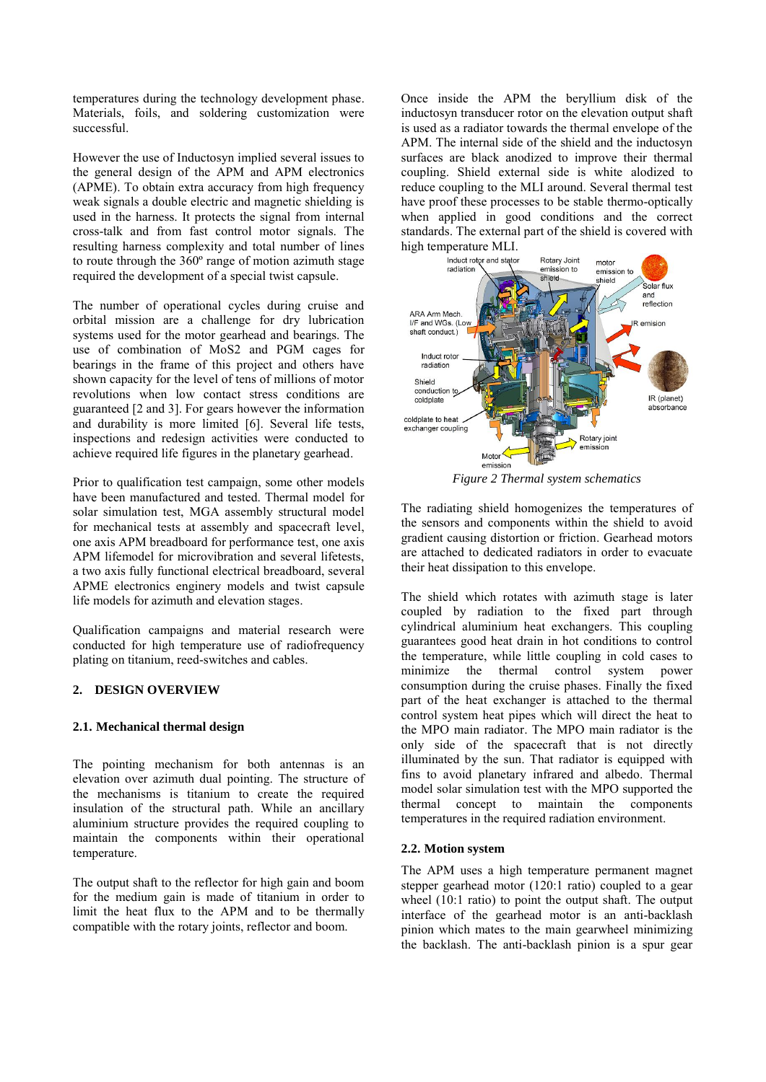temperatures during the technology development phase. Materials, foils, and soldering customization were successful.

However the use of Inductosyn implied several issues to the general design of the APM and APM electronics (APME). To obtain extra accuracy from high frequency weak signals a double electric and magnetic shielding is used in the harness. It protects the signal from internal cross-talk and from fast control motor signals. The resulting harness complexity and total number of lines to route through the 360º range of motion azimuth stage required the development of a special twist capsule.

The number of operational cycles during cruise and orbital mission are a challenge for dry lubrication systems used for the motor gearhead and bearings. The use of combination of MoS2 and PGM cages for bearings in the frame of this project and others have shown capacity for the level of tens of millions of motor revolutions when low contact stress conditions are guaranteed [2 and 3]. For gears however the information and durability is more limited [6]. Several life tests, inspections and redesign activities were conducted to achieve required life figures in the planetary gearhead.

Prior to qualification test campaign, some other models have been manufactured and tested. Thermal model for solar simulation test, MGA assembly structural model for mechanical tests at assembly and spacecraft level, one axis APM breadboard for performance test, one axis APM lifemodel for microvibration and several lifetests, a two axis fully functional electrical breadboard, several APME electronics enginery models and twist capsule life models for azimuth and elevation stages.

Qualification campaigns and material research were conducted for high temperature use of radiofrequency plating on titanium, reed-switches and cables.

### **2. DESIGN OVERVIEW**

#### **2.1. Mechanical thermal design**

The pointing mechanism for both antennas is an elevation over azimuth dual pointing. The structure of the mechanisms is titanium to create the required insulation of the structural path. While an ancillary aluminium structure provides the required coupling to maintain the components within their operational temperature.

The output shaft to the reflector for high gain and boom for the medium gain is made of titanium in order to limit the heat flux to the APM and to be thermally compatible with the rotary joints, reflector and boom.

Once inside the APM the beryllium disk of the inductosyn transducer rotor on the elevation output shaft is used as a radiator towards the thermal envelope of the APM. The internal side of the shield and the inductosyn surfaces are black anodized to improve their thermal coupling. Shield external side is white alodized to reduce coupling to the MLI around. Several thermal test have proof these processes to be stable thermo-optically when applied in good conditions and the correct standards. The external part of the shield is covered with



*Figure 2 Thermal system schematics* 

The radiating shield homogenizes the temperatures of the sensors and components within the shield to avoid gradient causing distortion or friction. Gearhead motors are attached to dedicated radiators in order to evacuate their heat dissipation to this envelope.

The shield which rotates with azimuth stage is later coupled by radiation to the fixed part through cylindrical aluminium heat exchangers. This coupling guarantees good heat drain in hot conditions to control the temperature, while little coupling in cold cases to minimize the thermal control system power consumption during the cruise phases. Finally the fixed part of the heat exchanger is attached to the thermal control system heat pipes which will direct the heat to the MPO main radiator. The MPO main radiator is the only side of the spacecraft that is not directly illuminated by the sun. That radiator is equipped with fins to avoid planetary infrared and albedo. Thermal model solar simulation test with the MPO supported the thermal concept to maintain the components temperatures in the required radiation environment.

### **2.2. Motion system**

The APM uses a high temperature permanent magnet stepper gearhead motor (120:1 ratio) coupled to a gear wheel (10:1 ratio) to point the output shaft. The output interface of the gearhead motor is an anti-backlash pinion which mates to the main gearwheel minimizing the backlash. The anti-backlash pinion is a spur gear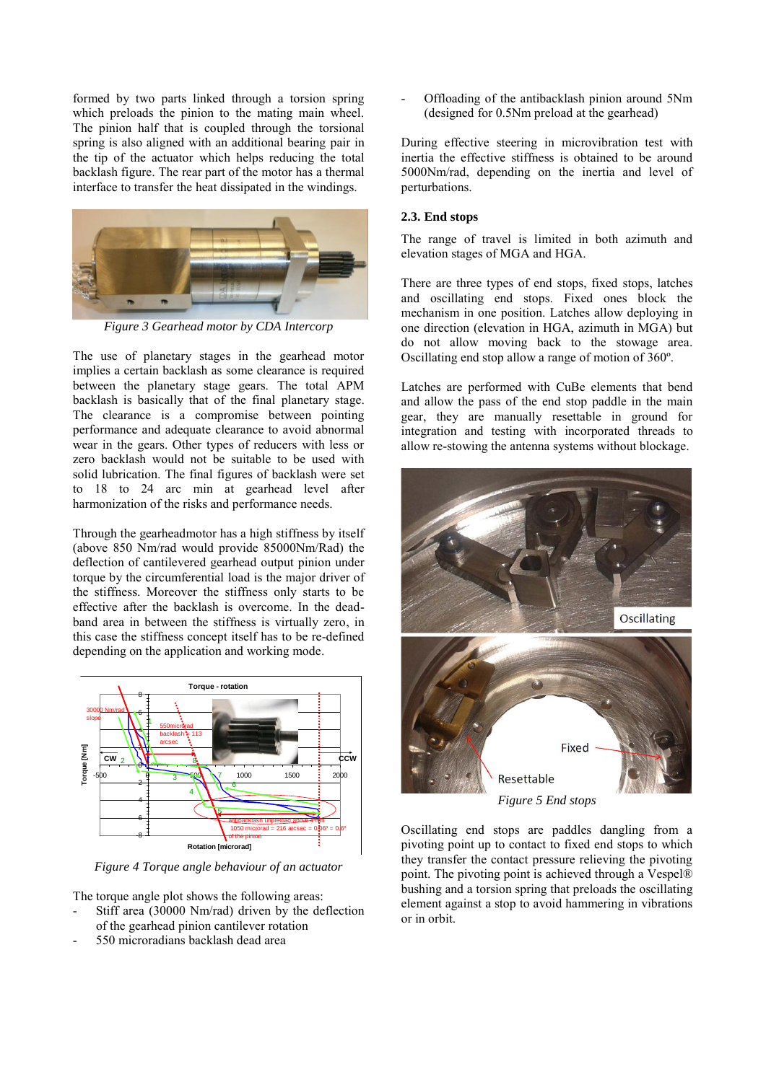formed by two parts linked through a torsion spring which preloads the pinion to the mating main wheel. The pinion half that is coupled through the torsional spring is also aligned with an additional bearing pair in the tip of the actuator which helps reducing the total backlash figure. The rear part of the motor has a thermal interface to transfer the heat dissipated in the windings.



*Figure 3 Gearhead motor by CDA Intercorp*

The use of planetary stages in the gearhead motor implies a certain backlash as some clearance is required between the planetary stage gears. The total APM backlash is basically that of the final planetary stage. The clearance is a compromise between pointing performance and adequate clearance to avoid abnormal wear in the gears. Other types of reducers with less or zero backlash would not be suitable to be used with solid lubrication. The final figures of backlash were set to 18 to 24 arc min at gearhead level after harmonization of the risks and performance needs.

Through the gearheadmotor has a high stiffness by itself (above 850 Nm/rad would provide 85000Nm/Rad) the deflection of cantilevered gearhead output pinion under torque by the circumferential load is the major driver of the stiffness. Moreover the stiffness only starts to be effective after the backlash is overcome. In the deadband area in between the stiffness is virtually zero, in this case the stiffness concept itself has to be re-defined depending on the application and working mode.



*Figure 4 Torque angle behaviour of an actuator*

The torque angle plot shows the following areas:

- Stiff area (30000 Nm/rad) driven by the deflection of the gearhead pinion cantilever rotation
- 550 microradians backlash dead area

Offloading of the antibacklash pinion around 5Nm (designed for 0.5Nm preload at the gearhead)

During effective steering in microvibration test with inertia the effective stiffness is obtained to be around 5000Nm/rad, depending on the inertia and level of perturbations.

### **2.3. End stops**

The range of travel is limited in both azimuth and elevation stages of MGA and HGA.

There are three types of end stops, fixed stops, latches and oscillating end stops. Fixed ones block the mechanism in one position. Latches allow deploying in one direction (elevation in HGA, azimuth in MGA) but do not allow moving back to the stowage area. Oscillating end stop allow a range of motion of 360º.

Latches are performed with CuBe elements that bend and allow the pass of the end stop paddle in the main gear, they are manually resettable in ground for integration and testing with incorporated threads to allow re-stowing the antenna systems without blockage.



Oscillating end stops are paddles dangling from a pivoting point up to contact to fixed end stops to which they transfer the contact pressure relieving the pivoting point. The pivoting point is achieved through a Vespel® bushing and a torsion spring that preloads the oscillating element against a stop to avoid hammering in vibrations or in orbit.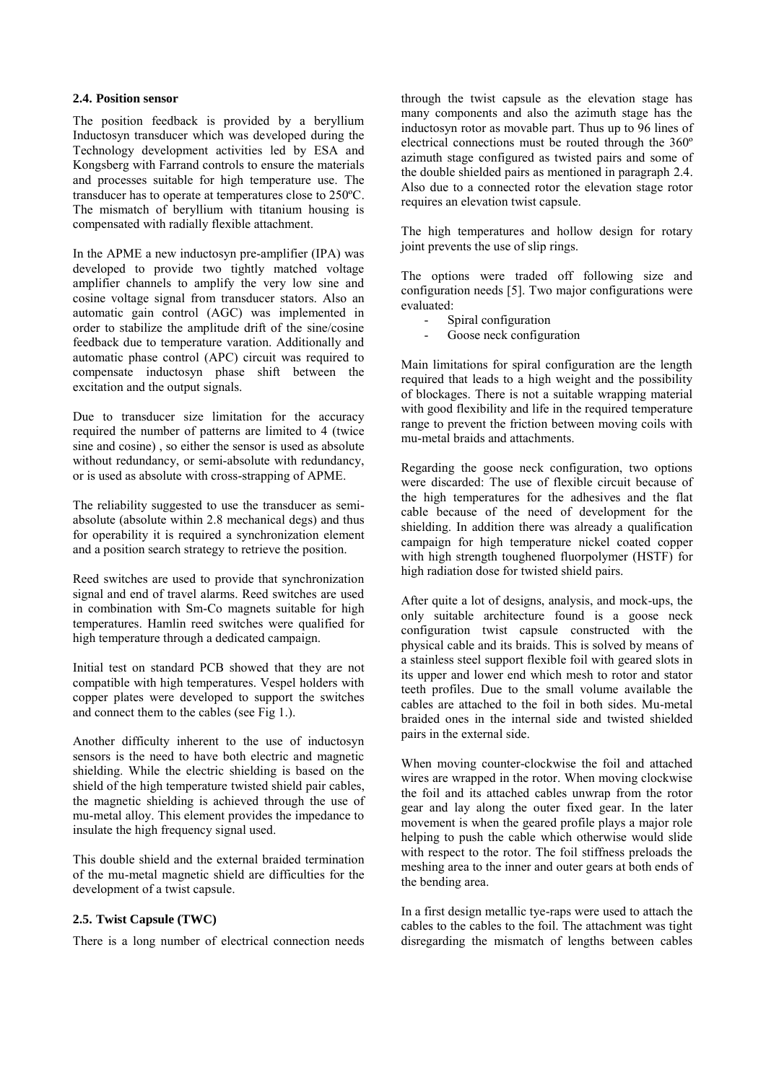#### <span id="page-3-0"></span>**2.4. Position sensor**

The position feedback is provided by a beryllium Inductosyn transducer which was developed during the Technology development activities led by ESA and Kongsberg with Farrand controls to ensure the materials and processes suitable for high temperature use. The transducer has to operate at temperatures close to 250ºC. The mismatch of beryllium with titanium housing is compensated with radially flexible attachment.

In the APME a new inductosyn pre-amplifier (IPA) was developed to provide two tightly matched voltage amplifier channels to amplify the very low sine and cosine voltage signal from transducer stators. Also an automatic gain control (AGC) was implemented in order to stabilize the amplitude drift of the sine/cosine feedback due to temperature varation. Additionally and automatic phase control (APC) circuit was required to compensate inductosyn phase shift between the excitation and the output signals.

Due to transducer size limitation for the accuracy required the number of patterns are limited to 4 (twice sine and cosine) , so either the sensor is used as absolute without redundancy, or semi-absolute with redundancy, or is used as absolute with cross-strapping of APME.

The reliability suggested to use the transducer as semiabsolute (absolute within 2.8 mechanical degs) and thus for operability it is required a synchronization element and a position search strategy to retrieve the position.

Reed switches are used to provide that synchronization signal and end of travel alarms. Reed switches are used in combination with Sm-Co magnets suitable for high temperatures. Hamlin reed switches were qualified for high temperature through a dedicated campaign.

Initial test on standard PCB showed that they are not compatible with high temperatures. Vespel holders with copper plates were developed to support the switches and connect them to the cables (see Fig 1.).

Another difficulty inherent to the use of inductosyn sensors is the need to have both electric and magnetic shielding. While the electric shielding is based on the shield of the high temperature twisted shield pair cables, the magnetic shielding is achieved through the use of mu-metal alloy. This element provides the impedance to insulate the high frequency signal used.

This double shield and the external braided termination of the mu-metal magnetic shield are difficulties for the development of a twist capsule.

### **2.5. Twist Capsule (TWC)**

There is a long number of electrical connection needs

through the twist capsule as the elevation stage has many components and also the azimuth stage has the inductosyn rotor as movable part. Thus up to 96 lines of electrical connections must be routed through the 360º azimuth stage configured as twisted pairs and some of the double shielded pairs as mentioned in paragraph [2.4.](#page-3-0) Also due to a connected rotor the elevation stage rotor requires an elevation twist capsule.

The high temperatures and hollow design for rotary joint prevents the use of slip rings.

The options were traded off following size and configuration needs [5]. Two major configurations were evaluated:

- Spiral configuration<br>- Goose neck configure
- Goose neck configuration

Main limitations for spiral configuration are the length required that leads to a high weight and the possibility of blockages. There is not a suitable wrapping material with good flexibility and life in the required temperature range to prevent the friction between moving coils with mu-metal braids and attachments.

Regarding the goose neck configuration, two options were discarded: The use of flexible circuit because of the high temperatures for the adhesives and the flat cable because of the need of development for the shielding. In addition there was already a qualification campaign for high temperature nickel coated copper with high strength toughened fluorpolymer (HSTF) for high radiation dose for twisted shield pairs.

After quite a lot of designs, analysis, and mock-ups, the only suitable architecture found is a goose neck configuration twist capsule constructed with the physical cable and its braids. This is solved by means of a stainless steel support flexible foil with geared slots in its upper and lower end which mesh to rotor and stator teeth profiles. Due to the small volume available the cables are attached to the foil in both sides. Mu-metal braided ones in the internal side and twisted shielded pairs in the external side.

When moving counter-clockwise the foil and attached wires are wrapped in the rotor. When moving clockwise the foil and its attached cables unwrap from the rotor gear and lay along the outer fixed gear. In the later movement is when the geared profile plays a major role helping to push the cable which otherwise would slide with respect to the rotor. The foil stiffness preloads the meshing area to the inner and outer gears at both ends of the bending area.

In a first design metallic tye-raps were used to attach the cables to the cables to the foil. The attachment was tight disregarding the mismatch of lengths between cables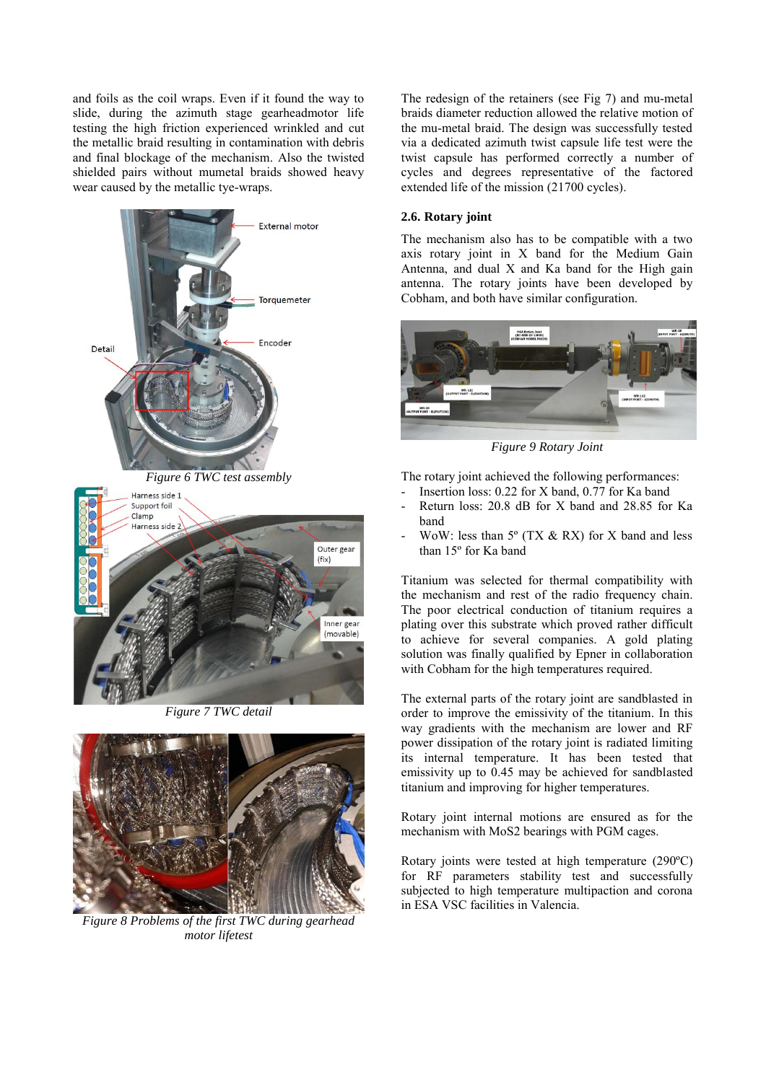and foils as the coil wraps. Even if it found the way to slide, during the azimuth stage gearheadmotor life testing the high friction experienced wrinkled and cut the metallic braid resulting in contamination with debris and final blockage of the mechanism. Also the twisted shielded pairs without mumetal braids showed heavy wear caused by the metallic tye-wraps.





*Figure 7 TWC detail* 



*Figure 8 Problems of the first TWC during gearhead motor lifetest*

The redesign of the retainers (see Fig 7) and mu-metal braids diameter reduction allowed the relative motion of the mu-metal braid. The design was successfully tested via a dedicated azimuth twist capsule life test were the twist capsule has performed correctly a number of cycles and degrees representative of the factored extended life of the mission (21700 cycles).

#### **2.6. Rotary joint**

The mechanism also has to be compatible with a two axis rotary joint in X band for the Medium Gain Antenna, and dual X and Ka band for the High gain antenna. The rotary joints have been developed by Cobham, and both have similar configuration.



*Figure 9 Rotary Joint* 

The rotary joint achieved the following performances:

- Insertion loss:  $0.22$  for X band,  $0.77$  for Ka band
- Return loss: 20.8 dB for X band and 28.85 for Ka band
- WoW: less than  $5^{\circ}$  (TX & RX) for X band and less than 15º for Ka band

Titanium was selected for thermal compatibility with the mechanism and rest of the radio frequency chain. The poor electrical conduction of titanium requires a plating over this substrate which proved rather difficult to achieve for several companies. A gold plating solution was finally qualified by Epner in collaboration with Cobham for the high temperatures required.

The external parts of the rotary joint are sandblasted in order to improve the emissivity of the titanium. In this way gradients with the mechanism are lower and RF power dissipation of the rotary joint is radiated limiting its internal temperature. It has been tested that emissivity up to 0.45 may be achieved for sandblasted titanium and improving for higher temperatures.

Rotary joint internal motions are ensured as for the mechanism with MoS2 bearings with PGM cages.

Rotary joints were tested at high temperature (290ºC) for RF parameters stability test and successfully subjected to high temperature multipaction and corona in ESA VSC facilities in Valencia.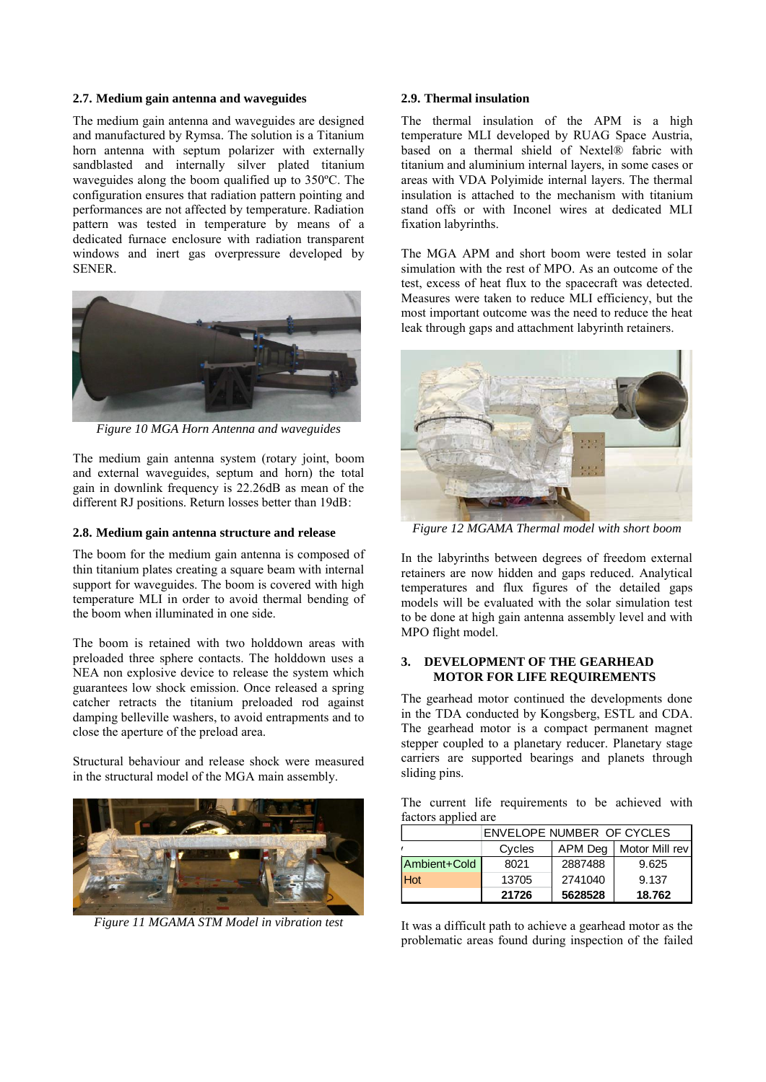## **2.7. Medium gain antenna and waveguides**

The medium gain antenna and waveguides are designed and manufactured by Rymsa. The solution is a Titanium horn antenna with septum polarizer with externally sandblasted and internally silver plated titanium waveguides along the boom qualified up to 350ºC. The configuration ensures that radiation pattern pointing and performances are not affected by temperature. Radiation pattern was tested in temperature by means of a dedicated furnace enclosure with radiation transparent windows and inert gas overpressure developed by SENER.



*Figure 10 MGA Horn Antenna and waveguides* 

The medium gain antenna system (rotary joint, boom and external waveguides, septum and horn) the total gain in downlink frequency is 22.26dB as mean of the different RJ positions. Return losses better than 19dB:

#### **2.8. Medium gain antenna structure and release**

The boom for the medium gain antenna is composed of thin titanium plates creating a square beam with internal support for waveguides. The boom is covered with high temperature MLI in order to avoid thermal bending of the boom when illuminated in one side.

The boom is retained with two holddown areas with preloaded three sphere contacts. The holddown uses a NEA non explosive device to release the system which guarantees low shock emission. Once released a spring catcher retracts the titanium preloaded rod against damping belleville washers, to avoid entrapments and to close the aperture of the preload area.

Structural behaviour and release shock were measured in the structural model of the MGA main assembly.



*Figure 11 MGAMA STM Model in vibration test* 

#### **2.9. Thermal insulation**

The thermal insulation of the APM is a high temperature MLI developed by RUAG Space Austria, based on a thermal shield of Nextel® fabric with titanium and aluminium internal layers, in some cases or areas with VDA Polyimide internal layers. The thermal insulation is attached to the mechanism with titanium stand offs or with Inconel wires at dedicated MLI fixation labyrinths.

The MGA APM and short boom were tested in solar simulation with the rest of MPO. As an outcome of the test, excess of heat flux to the spacecraft was detected. Measures were taken to reduce MLI efficiency, but the most important outcome was the need to reduce the heat leak through gaps and attachment labyrinth retainers.



*Figure 12 MGAMA Thermal model with short boom*

In the labyrinths between degrees of freedom external retainers are now hidden and gaps reduced. Analytical temperatures and flux figures of the detailed gaps models will be evaluated with the solar simulation test to be done at high gain antenna assembly level and with MPO flight model.

#### **3. DEVELOPMENT OF THE GEARHEAD MOTOR FOR LIFE REQUIREMENTS**

The gearhead motor continued the developments done in the TDA conducted by Kongsberg, ESTL and CDA. The gearhead motor is a compact permanent magnet stepper coupled to a planetary reducer. Planetary stage carriers are supported bearings and planets through sliding pins.

The current life requirements to be achieved with factors applied are

|              | ENVELOPE NUMBER OF CYCLES |         |                |
|--------------|---------------------------|---------|----------------|
|              | Cycles                    | APM Deg | Motor Mill rev |
| Ambient+Cold | 8021                      | 2887488 | 9.625          |
| Hot          | 13705                     | 2741040 | 9.137          |
|              | 21726                     | 5628528 | 18.762         |

It was a difficult path to achieve a gearhead motor as the problematic areas found during inspection of the failed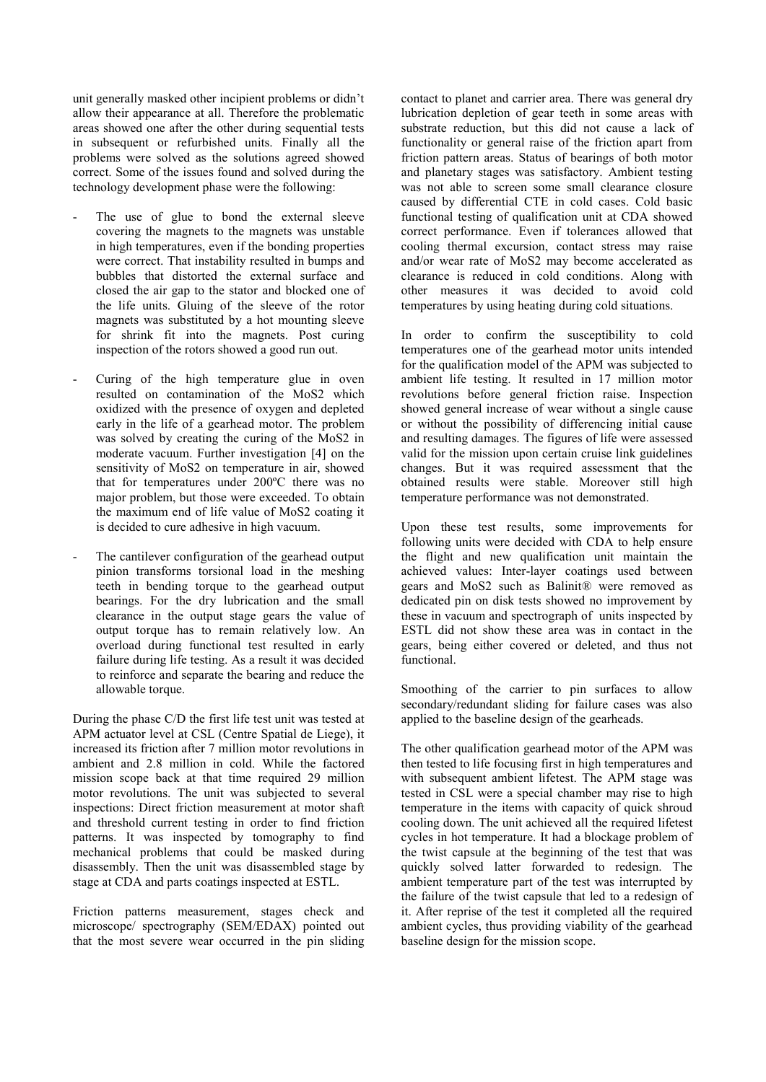unit generally masked other incipient problems or didn't allow their appearance at all. Therefore the problematic areas showed one after the other during sequential tests in subsequent or refurbished units. Finally all the problems were solved as the solutions agreed showed correct. Some of the issues found and solved during the technology development phase were the following:

- The use of glue to bond the external sleeve covering the magnets to the magnets was unstable in high temperatures, even if the bonding properties were correct. That instability resulted in bumps and bubbles that distorted the external surface and closed the air gap to the stator and blocked one of the life units. Gluing of the sleeve of the rotor magnets was substituted by a hot mounting sleeve for shrink fit into the magnets. Post curing inspection of the rotors showed a good run out.
- Curing of the high temperature glue in oven resulted on contamination of the MoS2 which oxidized with the presence of oxygen and depleted early in the life of a gearhead motor. The problem was solved by creating the curing of the MoS2 in moderate vacuum. Further investigation [4] on the sensitivity of MoS2 on temperature in air, showed that for temperatures under 200ºC there was no major problem, but those were exceeded. To obtain the maximum end of life value of MoS2 coating it is decided to cure adhesive in high vacuum.
- The cantilever configuration of the gearhead output pinion transforms torsional load in the meshing teeth in bending torque to the gearhead output bearings. For the dry lubrication and the small clearance in the output stage gears the value of output torque has to remain relatively low. An overload during functional test resulted in early failure during life testing. As a result it was decided to reinforce and separate the bearing and reduce the allowable torque.

During the phase C/D the first life test unit was tested at APM actuator level at CSL (Centre Spatial de Liege), it increased its friction after 7 million motor revolutions in ambient and 2.8 million in cold. While the factored mission scope back at that time required 29 million motor revolutions. The unit was subjected to several inspections: Direct friction measurement at motor shaft and threshold current testing in order to find friction patterns. It was inspected by tomography to find mechanical problems that could be masked during disassembly. Then the unit was disassembled stage by stage at CDA and parts coatings inspected at ESTL.

Friction patterns measurement, stages check and microscope/ spectrography (SEM/EDAX) pointed out that the most severe wear occurred in the pin sliding contact to planet and carrier area. There was general dry lubrication depletion of gear teeth in some areas with substrate reduction, but this did not cause a lack of functionality or general raise of the friction apart from friction pattern areas. Status of bearings of both motor and planetary stages was satisfactory. Ambient testing was not able to screen some small clearance closure caused by differential CTE in cold cases. Cold basic functional testing of qualification unit at CDA showed correct performance. Even if tolerances allowed that cooling thermal excursion, contact stress may raise and/or wear rate of MoS2 may become accelerated as clearance is reduced in cold conditions. Along with other measures it was decided to avoid cold temperatures by using heating during cold situations.

In order to confirm the susceptibility to cold temperatures one of the gearhead motor units intended for the qualification model of the APM was subjected to ambient life testing. It resulted in 17 million motor revolutions before general friction raise. Inspection showed general increase of wear without a single cause or without the possibility of differencing initial cause and resulting damages. The figures of life were assessed valid for the mission upon certain cruise link guidelines changes. But it was required assessment that the obtained results were stable. Moreover still high temperature performance was not demonstrated.

Upon these test results, some improvements for following units were decided with CDA to help ensure the flight and new qualification unit maintain the achieved values: Inter-layer coatings used between gears and MoS2 such as Balinit® were removed as dedicated pin on disk tests showed no improvement by these in vacuum and spectrograph of units inspected by ESTL did not show these area was in contact in the gears, being either covered or deleted, and thus not functional.

Smoothing of the carrier to pin surfaces to allow secondary/redundant sliding for failure cases was also applied to the baseline design of the gearheads.

The other qualification gearhead motor of the APM was then tested to life focusing first in high temperatures and with subsequent ambient lifetest. The APM stage was tested in CSL were a special chamber may rise to high temperature in the items with capacity of quick shroud cooling down. The unit achieved all the required lifetest cycles in hot temperature. It had a blockage problem of the twist capsule at the beginning of the test that was quickly solved latter forwarded to redesign. The ambient temperature part of the test was interrupted by the failure of the twist capsule that led to a redesign of it. After reprise of the test it completed all the required ambient cycles, thus providing viability of the gearhead baseline design for the mission scope.